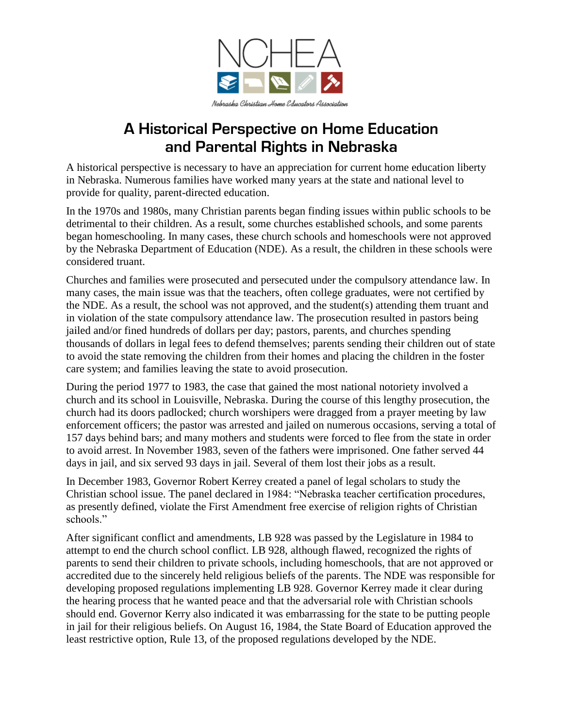

## **A Historical Perspective on Home Education and Parental Rights in Nebraska**

A historical perspective is necessary to have an appreciation for current home education liberty in Nebraska. Numerous families have worked many years at the state and national level to provide for quality, parent-directed education.

In the 1970s and 1980s, many Christian parents began finding issues within public schools to be detrimental to their children. As a result, some churches established schools, and some parents began homeschooling. In many cases, these church schools and homeschools were not approved by the Nebraska Department of Education (NDE). As a result, the children in these schools were considered truant.

Churches and families were prosecuted and persecuted under the compulsory attendance law. In many cases, the main issue was that the teachers, often college graduates, were not certified by the NDE. As a result, the school was not approved, and the student(s) attending them truant and in violation of the state compulsory attendance law. The prosecution resulted in pastors being jailed and/or fined hundreds of dollars per day; pastors, parents, and churches spending thousands of dollars in legal fees to defend themselves; parents sending their children out of state to avoid the state removing the children from their homes and placing the children in the foster care system; and families leaving the state to avoid prosecution.

During the period 1977 to 1983, the case that gained the most national notoriety involved a church and its school in Louisville, Nebraska. During the course of this lengthy prosecution, the church had its doors padlocked; church worshipers were dragged from a prayer meeting by law enforcement officers; the pastor was arrested and jailed on numerous occasions, serving a total of 157 days behind bars; and many mothers and students were forced to flee from the state in order to avoid arrest. In November 1983, seven of the fathers were imprisoned. One father served 44 days in jail, and six served 93 days in jail. Several of them lost their jobs as a result.

In December 1983, Governor Robert Kerrey created a panel of legal scholars to study the Christian school issue. The panel declared in 1984: "Nebraska teacher certification procedures, as presently defined, violate the First Amendment free exercise of religion rights of Christian schools."

After significant conflict and amendments, LB 928 was passed by the Legislature in 1984 to attempt to end the church school conflict. LB 928, although flawed, recognized the rights of parents to send their children to private schools, including homeschools, that are not approved or accredited due to the sincerely held religious beliefs of the parents. The NDE was responsible for developing proposed regulations implementing LB 928. Governor Kerrey made it clear during the hearing process that he wanted peace and that the adversarial role with Christian schools should end. Governor Kerry also indicated it was embarrassing for the state to be putting people in jail for their religious beliefs. On August 16, 1984, the State Board of Education approved the least restrictive option, Rule 13, of the proposed regulations developed by the NDE.